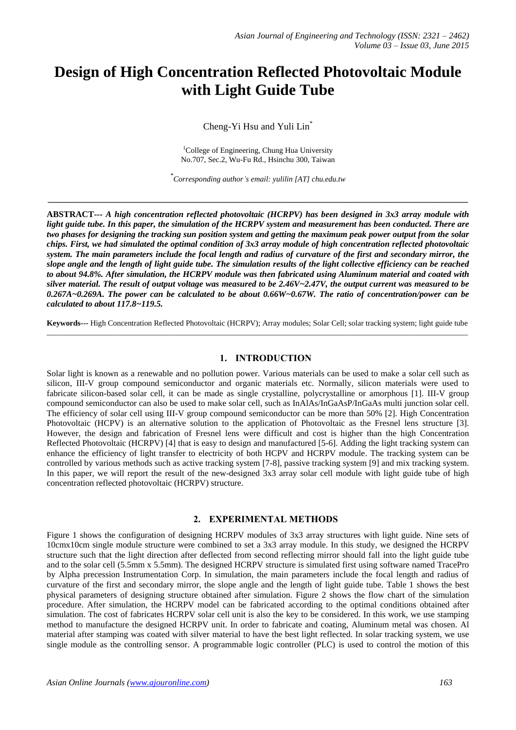# **Design of High Concentration Reflected Photovoltaic Module with Light Guide Tube**

Cheng-Yi Hsu and Yuli Lin\*

<sup>1</sup>College of Engineering, Chung Hua University No.707, Sec.2, Wu-Fu Rd., Hsinchu 300, Taiwan

*\* Corresponding author's email: yulilin [AT] chu.edu.tw*

**\_\_\_\_\_\_\_\_\_\_\_\_\_\_\_\_\_\_\_\_\_\_\_\_\_\_\_\_\_\_\_\_\_\_\_\_\_\_\_\_\_\_\_\_\_\_\_\_\_\_\_\_\_\_\_\_\_\_\_\_\_\_\_\_\_\_\_\_\_\_\_\_\_\_\_\_\_\_\_\_\_\_\_\_\_\_\_\_\_\_\_\_\_\_\_\_\_**

**ABSTRACT---** *A high concentration reflected photovoltaic (HCRPV) has been designed in 3x3 array module with light guide tube. In this paper, the simulation of the HCRPV system and measurement has been conducted. There are two phases for designing the tracking sun position system and getting the maximum peak power output from the solar chips. First, we had simulated the optimal condition of 3x3 array module of high concentration reflected photovoltaic system. The main parameters include the focal length and radius of curvature of the first and secondary mirror, the slope angle and the length of light guide tube. The simulation results of the light collective efficiency can be reached to about 94.8%. After simulation, the HCRPV module was then fabricated using Aluminum material and coated with silver material. The result of output voltage was measured to be 2.46V~2.47V, the output current was measured to be 0.267A~0.269A. The power can be calculated to be about 0.66W~0.67W. The ratio of concentration/power can be calculated to about 117.8~119.5.*

**Keywords---** High Concentration Reflected Photovoltaic (HCRPV); Array modules; Solar Cell; solar tracking system; light guide tube \_\_\_\_\_\_\_\_\_\_\_\_\_\_\_\_\_\_\_\_\_\_\_\_\_\_\_\_\_\_\_\_\_\_\_\_\_\_\_\_\_\_\_\_\_\_\_\_\_\_\_\_\_\_\_\_\_\_\_\_\_\_\_\_\_\_\_\_\_\_\_\_\_\_\_\_\_\_\_\_\_\_\_\_\_\_\_\_\_\_\_\_\_\_\_\_\_\_\_\_\_\_\_\_\_\_\_\_

#### **1. INTRODUCTION**

Solar light is known as a renewable and no pollution power. Various materials can be used to make a solar cell such as silicon, III-V group compound semiconductor and organic materials etc. Normally, silicon materials were used to fabricate silicon-based solar cell, it can be made as single crystalline, polycrystalline or amorphous [1]. III-V group compound semiconductor can also be used to make solar cell, such as InAlAs/InGaAsP/InGaAs multi junction solar cell. The efficiency of solar cell using III-V group compound semiconductor can be more than 50% [2]. High Concentration Photovoltaic (HCPV) is an alternative solution to the application of Photovoltaic as the Fresnel lens structure [3]. However, the design and fabrication of Fresnel lens were difficult and cost is higher than the high Concentration Reflected Photovoltaic (HCRPV) [4] that is easy to design and manufactured [5-6]. Adding the light tracking system can enhance the efficiency of light transfer to electricity of both HCPV and HCRPV module. The tracking system can be controlled by various methods such as active tracking system [7-8], passive tracking system [9] and mix tracking system. In this paper, we will report the result of the new-designed 3x3 array solar cell module with light guide tube of high concentration reflected photovoltaic (HCRPV) structure.

## **2. EXPERIMENTAL METHODS**

Figure 1 shows the configuration of designing HCRPV modules of 3x3 array structures with light guide. Nine sets of 10cmx10cm single module structure were combined to set a 3x3 array module. In this study, we designed the HCRPV structure such that the light direction after deflected from second reflecting mirror should fall into the light guide tube and to the solar cell (5.5mm x 5.5mm). The designed HCRPV structure is simulated first using software named TracePro by Alpha precession Instrumentation Corp. In simulation, the main parameters include the focal length and radius of curvature of the first and secondary mirror, the slope angle and the length of light guide tube. Table 1 shows the best physical parameters of designing structure obtained after simulation. Figure 2 shows the flow chart of the simulation procedure. After simulation, the HCRPV model can be fabricated according to the optimal conditions obtained after simulation. The cost of fabricates HCRPV solar cell unit is also the key to be considered. In this work, we use stamping method to manufacture the designed HCRPV unit. In order to fabricate and coating, Aluminum metal was chosen. Al material after stamping was coated with silver material to have the best light reflected. In solar tracking system, we use single module as the controlling sensor. A programmable logic controller (PLC) is used to control the motion of this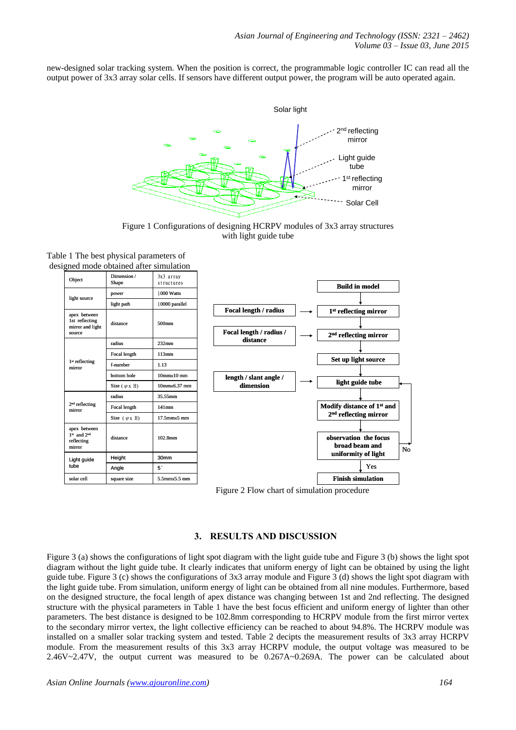new-designed solar tracking system. When the position is correct, the programmable logic controller IC can read all the output power of 3x3 array solar cells. If sensors have different output power, the program will be auto operated again.



Figure 1 Configurations of designing HCRPV modules of 3x3 array structures with light guide tube

| Object                                                  | Dimension /<br>Shape          | 3x3 array<br>structures  |                         |                                         |
|---------------------------------------------------------|-------------------------------|--------------------------|-------------------------|-----------------------------------------|
| light source                                            | power                         | 1000 Watts               |                         | <b>Build in model</b>                   |
|                                                         | light path                    | 10000 parallel           |                         |                                         |
| apex between                                            |                               |                          | Focal length / radius   | 1 <sup>st</sup> reflecting mirror       |
| 1st reflecting<br>mirror and light                      | distance                      | 500mm                    | Focal length / radius / |                                         |
| source                                                  | radius                        | $232$ mm                 | distance                | $2nd$ reflecting mirror                 |
| 1 <sup>st</sup> reflecting<br>mirror                    | Focal length                  | 113mm                    |                         |                                         |
|                                                         | f-number                      | 1.13                     |                         | Set up light source                     |
|                                                         | bottom hole                   | $10$ mm $\times 10$ mm   | length / slant angle /  |                                         |
|                                                         | Size $(\varphi_X \mathbb{H})$ | 10mm×6.37 mm             | dimension               | light guide tube                        |
| 2 <sup>nd</sup> reflecting<br>mirror                    | radius                        | 35.55mm                  |                         |                                         |
|                                                         | Focal length                  | $141$ mm                 |                         | Modify distance of 1 <sup>st</sup> and  |
|                                                         | Size $(\varphi x \ H)$        | $17.5$ mm $\times$ 5 mm  |                         | $2nd$ reflecting mirror                 |
| apex between<br>$1st$ and $2nd$<br>reflecting<br>mirror | distance                      | 102.8mm                  |                         | observation the focus<br>broad beam and |
| Light guide<br>tube                                     | Height                        | 30mm                     |                         | uniformity of light                     |
|                                                         | Angle                         | 5°                       |                         | Yes                                     |
| solar cell                                              | square size                   | $5.5$ mm $\times$ 5.5 mm |                         | <b>Finish simulation</b>                |

Table 1 The best physical parameters of designed mode obtained after simulation

# **3. RESULTS AND DISCUSSION**

Figure 3 (a) shows the configurations of light spot diagram with the light guide tube and Figure 3 (b) shows the light spot diagram without the light guide tube. It clearly indicates that uniform energy of light can be obtained by using the light guide tube. Figure 3 (c) shows the configurations of 3x3 array module and Figure 3 (d) shows the light spot diagram with the light guide tube. From simulation, uniform energy of light can be obtained from all nine modules. Furthermore, based on the designed structure, the focal length of apex distance was changing between 1st and 2nd reflecting. The designed structure with the physical parameters in Table 1 have the best focus efficient and uniform energy of lighter than other parameters. The best distance is designed to be 102.8mm corresponding to HCRPV module from the first mirror vertex to the secondary mirror vertex, the light collective efficiency can be reached to about 94.8%. The HCRPV module was installed on a smaller solar tracking system and tested. Table 2 decipts the measurement results of 3x3 array HCRPV module. From the measurement results of this 3x3 array HCRPV module, the output voltage was measured to be 2.46V~2.47V, the output current was measured to be 0.267A~0.269A. The power can be calculated about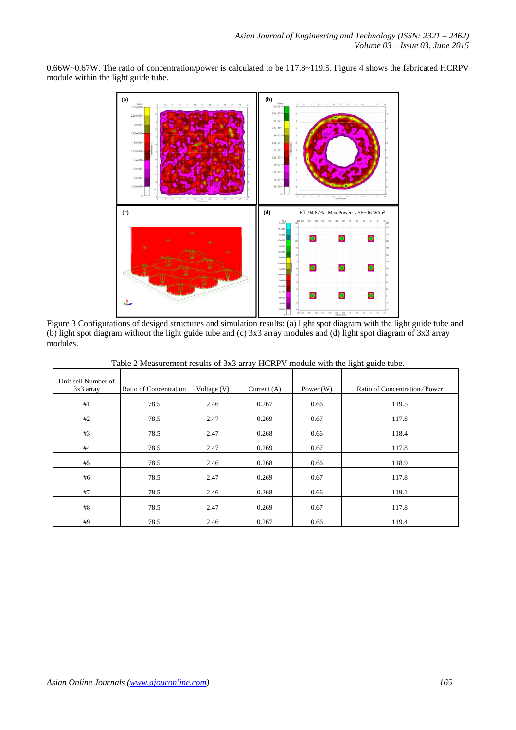0.66W~0.67W. The ratio of concentration/power is calculated to be 117.8~119.5. Figure 4 shows the fabricated HCRPV module within the light guide tube.



Figure 3 Configurations of desiged structures and simulation results: (a) light spot diagram with the light guide tube and (b) light spot diagram without the light guide tube and (c) 3x3 array modules and (d) light spot diagram of 3x3 array modules.

| Unit cell Number of<br>$3x3$ array | Ratio of Concentration | Voltage $(V)$ | Current $(A)$ | Power $(W)$ | Ratio of Concentration/Power |
|------------------------------------|------------------------|---------------|---------------|-------------|------------------------------|
| #1                                 | 78.5                   | 2.46          | 0.267         | 0.66        | 119.5                        |
| #2                                 | 78.5                   | 2.47          | 0.269         | 0.67        | 117.8                        |
| #3                                 | 78.5                   | 2.47          | 0.268         | 0.66        | 118.4                        |
| #4                                 | 78.5                   | 2.47          | 0.269         | 0.67        | 117.8                        |
| #5                                 | 78.5                   | 2.46          | 0.268         | 0.66        | 118.9                        |
| #6                                 | 78.5                   | 2.47          | 0.269         | 0.67        | 117.8                        |
| #7                                 | 78.5                   | 2.46          | 0.268         | 0.66        | 119.1                        |
| #8                                 | 78.5                   | 2.47          | 0.269         | 0.67        | 117.8                        |
| #9                                 | 78.5                   | 2.46          | 0.267         | 0.66        | 119.4                        |

Table 2 Measurement results of 3x3 array HCRPV module with the light guide tube.